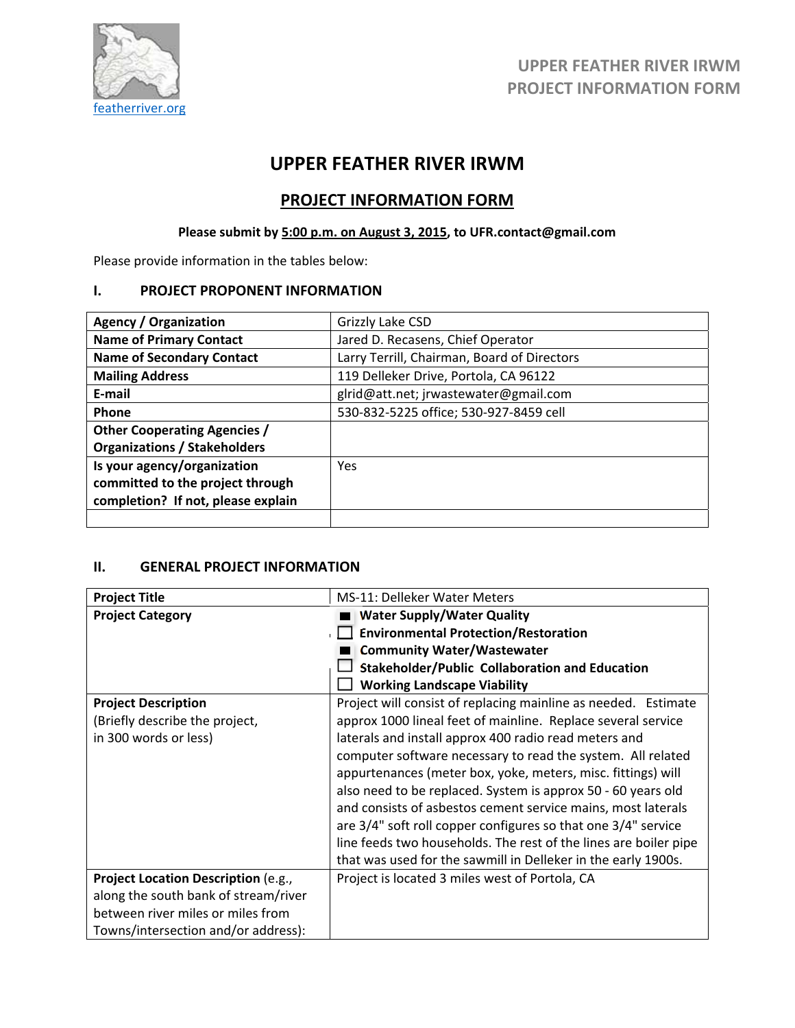

# **UPPER FEATHER RIVER IRWM**

## **PROJECT INFORMATION FORM**

## **Please submit by 5:00 p.m. on August 3, 2015, to UFR.contact@gmail.com**

Please provide information in the tables below:

#### **I. PROJECT PROPONENT INFORMATION**

| <b>Agency / Organization</b>        | Grizzly Lake CSD                            |
|-------------------------------------|---------------------------------------------|
| <b>Name of Primary Contact</b>      | Jared D. Recasens, Chief Operator           |
| <b>Name of Secondary Contact</b>    | Larry Terrill, Chairman, Board of Directors |
| <b>Mailing Address</b>              | 119 Delleker Drive, Portola, CA 96122       |
| E-mail                              | glrid@att.net; jrwastewater@gmail.com       |
| <b>Phone</b>                        | 530-832-5225 office; 530-927-8459 cell      |
| <b>Other Cooperating Agencies /</b> |                                             |
| <b>Organizations / Stakeholders</b> |                                             |
| Is your agency/organization         | <b>Yes</b>                                  |
| committed to the project through    |                                             |
| completion? If not, please explain  |                                             |
|                                     |                                             |

#### **II. GENERAL PROJECT INFORMATION**

| <b>Project Title</b>                 | <b>MS-11: Delleker Water Meters</b>                              |
|--------------------------------------|------------------------------------------------------------------|
| <b>Project Category</b>              | <b>Water Supply/Water Quality</b>                                |
|                                      | <b>Environmental Protection/Restoration</b>                      |
|                                      | <b>Community Water/Wastewater</b>                                |
|                                      | <b>Stakeholder/Public Collaboration and Education</b>            |
|                                      | <b>Working Landscape Viability</b>                               |
| <b>Project Description</b>           | Project will consist of replacing mainline as needed. Estimate   |
| (Briefly describe the project,       | approx 1000 lineal feet of mainline. Replace several service     |
| in 300 words or less)                | laterals and install approx 400 radio read meters and            |
|                                      | computer software necessary to read the system. All related      |
|                                      | appurtenances (meter box, yoke, meters, misc. fittings) will     |
|                                      | also need to be replaced. System is approx 50 - 60 years old     |
|                                      | and consists of asbestos cement service mains, most laterals     |
|                                      | are 3/4" soft roll copper configures so that one 3/4" service    |
|                                      | line feeds two households. The rest of the lines are boiler pipe |
|                                      | that was used for the sawmill in Delleker in the early 1900s.    |
| Project Location Description (e.g.,  | Project is located 3 miles west of Portola, CA                   |
| along the south bank of stream/river |                                                                  |
| between river miles or miles from    |                                                                  |
| Towns/intersection and/or address):  |                                                                  |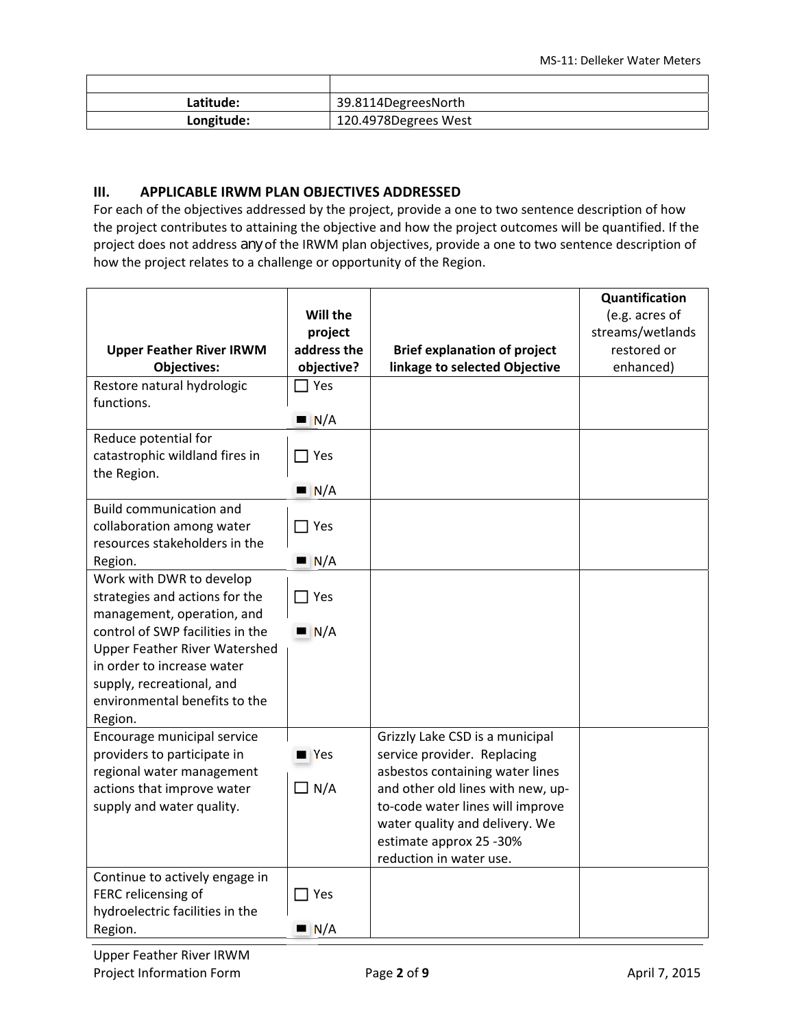| Latitude:  | 39.8114DegreesNorth  |
|------------|----------------------|
| Longitude: | 120.4978Degrees West |

#### **III. APPLICABLE IRWM PLAN OBJECTIVES ADDRESSED**

For each of the objectives addressed by the project, provide a one to two sentence description of how the project contributes to attaining the objective and how the project outcomes will be quantified. If the project does not address *any* of the IRWM plan objectives, provide a one to two sentence description of how the project relates to a challenge or opportunity of the Region.

|                                                            |                    |                                                                | Quantification   |
|------------------------------------------------------------|--------------------|----------------------------------------------------------------|------------------|
|                                                            | Will the           |                                                                | (e.g. acres of   |
|                                                            | project            |                                                                | streams/wetlands |
| <b>Upper Feather River IRWM</b>                            | address the        | <b>Brief explanation of project</b>                            | restored or      |
| <b>Objectives:</b>                                         | objective?         | linkage to selected Objective                                  | enhanced)        |
| Restore natural hydrologic                                 | $\sqcap$ Yes       |                                                                |                  |
| functions.                                                 |                    |                                                                |                  |
|                                                            | N/A                |                                                                |                  |
| Reduce potential for                                       |                    |                                                                |                  |
| catastrophic wildland fires in                             | $\exists$ Yes      |                                                                |                  |
| the Region.                                                |                    |                                                                |                  |
|                                                            | N/A                |                                                                |                  |
| <b>Build communication and</b>                             |                    |                                                                |                  |
| collaboration among water                                  | $\Box$ Yes         |                                                                |                  |
| resources stakeholders in the                              |                    |                                                                |                  |
| Region.                                                    | $\blacksquare$ N/A |                                                                |                  |
| Work with DWR to develop                                   |                    |                                                                |                  |
| strategies and actions for the                             | $\Box$ Yes         |                                                                |                  |
| management, operation, and                                 |                    |                                                                |                  |
| control of SWP facilities in the                           | N/A                |                                                                |                  |
| <b>Upper Feather River Watershed</b>                       |                    |                                                                |                  |
| in order to increase water                                 |                    |                                                                |                  |
| supply, recreational, and                                  |                    |                                                                |                  |
| environmental benefits to the                              |                    |                                                                |                  |
| Region.                                                    |                    |                                                                |                  |
| Encourage municipal service<br>providers to participate in | $\blacksquare$ Yes | Grizzly Lake CSD is a municipal<br>service provider. Replacing |                  |
| regional water management                                  |                    | asbestos containing water lines                                |                  |
| actions that improve water                                 | $\Box$ N/A         | and other old lines with new, up-                              |                  |
| supply and water quality.                                  |                    | to-code water lines will improve                               |                  |
|                                                            |                    | water quality and delivery. We                                 |                  |
|                                                            |                    | estimate approx 25 -30%                                        |                  |
|                                                            |                    | reduction in water use.                                        |                  |
| Continue to actively engage in                             |                    |                                                                |                  |
| FERC relicensing of                                        | $\Box$ Yes         |                                                                |                  |
| hydroelectric facilities in the                            |                    |                                                                |                  |
| Region.                                                    | N/A                |                                                                |                  |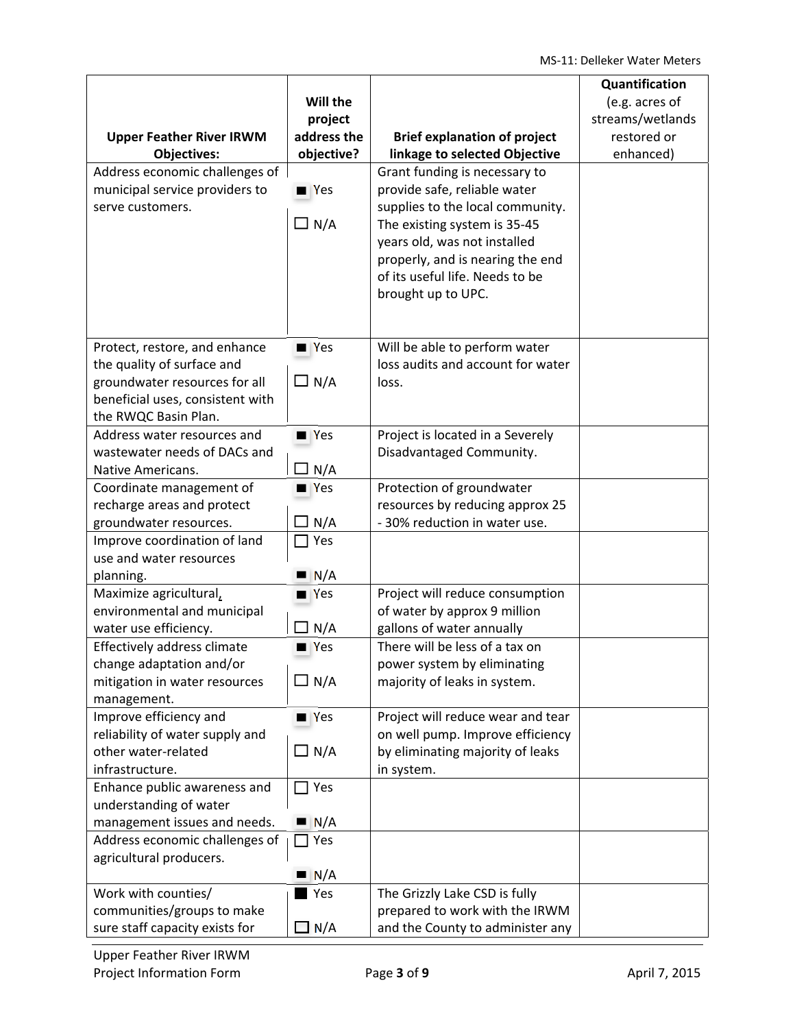| <b>Upper Feather River IRWM</b><br><b>Objectives:</b><br>Address economic challenges of<br>municipal service providers to<br>serve customers.            | Will the<br>project<br>address the<br>objective?<br>$\blacksquare$ Yes<br>$\Box$ N/A | <b>Brief explanation of project</b><br>linkage to selected Objective<br>Grant funding is necessary to<br>provide safe, reliable water<br>supplies to the local community.<br>The existing system is 35-45<br>years old, was not installed<br>properly, and is nearing the end<br>of its useful life. Needs to be<br>brought up to UPC. | Quantification<br>(e.g. acres of<br>streams/wetlands<br>restored or<br>enhanced) |
|----------------------------------------------------------------------------------------------------------------------------------------------------------|--------------------------------------------------------------------------------------|----------------------------------------------------------------------------------------------------------------------------------------------------------------------------------------------------------------------------------------------------------------------------------------------------------------------------------------|----------------------------------------------------------------------------------|
| Protect, restore, and enhance<br>the quality of surface and<br>groundwater resources for all<br>beneficial uses, consistent with<br>the RWQC Basin Plan. | $\blacksquare$ Yes<br>$\Box$ N/A                                                     | Will be able to perform water<br>loss audits and account for water<br>loss.                                                                                                                                                                                                                                                            |                                                                                  |
| Address water resources and<br>wastewater needs of DACs and<br>Native Americans.                                                                         | $\blacksquare$ Yes<br>N/A                                                            | Project is located in a Severely<br>Disadvantaged Community.                                                                                                                                                                                                                                                                           |                                                                                  |
| Coordinate management of<br>recharge areas and protect<br>groundwater resources.                                                                         | $\blacksquare$ Yes<br>N/A                                                            | Protection of groundwater<br>resources by reducing approx 25<br>- 30% reduction in water use.                                                                                                                                                                                                                                          |                                                                                  |
| Improve coordination of land<br>use and water resources<br>planning.                                                                                     | Yes<br>N/A                                                                           |                                                                                                                                                                                                                                                                                                                                        |                                                                                  |
| Maximize agricultural,<br>environmental and municipal<br>water use efficiency.                                                                           | $\blacksquare$ Yes<br>N/A                                                            | Project will reduce consumption<br>of water by approx 9 million<br>gallons of water annually                                                                                                                                                                                                                                           |                                                                                  |
| Effectively address climate<br>change adaptation and/or<br>mitigation in water resources<br>management.                                                  | $\blacksquare$ Yes<br>$\Box$ N/A                                                     | There will be less of a tax on<br>power system by eliminating<br>majority of leaks in system.                                                                                                                                                                                                                                          |                                                                                  |
| Improve efficiency and<br>reliability of water supply and<br>other water-related<br>infrastructure.                                                      | $\blacksquare$ Yes<br>$\Box$ N/A                                                     | Project will reduce wear and tear<br>on well pump. Improve efficiency<br>by eliminating majority of leaks<br>in system.                                                                                                                                                                                                                |                                                                                  |
| Enhance public awareness and<br>understanding of water<br>management issues and needs.                                                                   | $\Box$ Yes<br>N/A                                                                    |                                                                                                                                                                                                                                                                                                                                        |                                                                                  |
| Address economic challenges of<br>agricultural producers.                                                                                                | Yes<br>N/A<br>ш                                                                      |                                                                                                                                                                                                                                                                                                                                        |                                                                                  |
| Work with counties/<br>communities/groups to make<br>sure staff capacity exists for                                                                      | Yes<br>$\Box$ N/A                                                                    | The Grizzly Lake CSD is fully<br>prepared to work with the IRWM<br>and the County to administer any                                                                                                                                                                                                                                    |                                                                                  |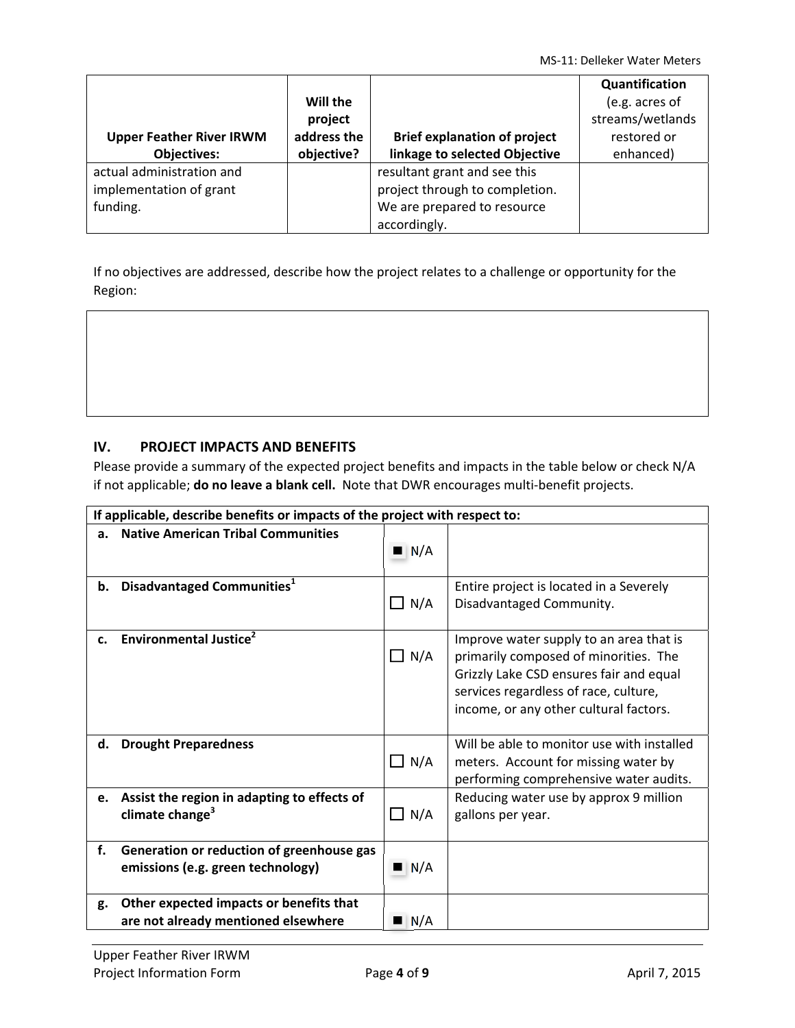|                                 |             |                                     | Quantification   |
|---------------------------------|-------------|-------------------------------------|------------------|
|                                 | Will the    |                                     | (e.g. acres of   |
|                                 | project     |                                     | streams/wetlands |
| <b>Upper Feather River IRWM</b> | address the | <b>Brief explanation of project</b> | restored or      |
| <b>Objectives:</b>              | objective?  | linkage to selected Objective       | enhanced)        |
| actual administration and       |             | resultant grant and see this        |                  |
| implementation of grant         |             | project through to completion.      |                  |
| funding.                        |             | We are prepared to resource         |                  |
|                                 |             | accordingly.                        |                  |

If no objectives are addressed, describe how the project relates to a challenge or opportunity for the Region:

### **IV. PROJECT IMPACTS AND BENEFITS**

Please provide a summary of the expected project benefits and impacts in the table below or check N/A if not applicable; **do no leave a blank cell.** Note that DWR encourages multi‐benefit projects.

|    | If applicable, describe benefits or impacts of the project with respect to:    |                    |                                                                                                                                                                                                                |  |  |  |
|----|--------------------------------------------------------------------------------|--------------------|----------------------------------------------------------------------------------------------------------------------------------------------------------------------------------------------------------------|--|--|--|
| a. | <b>Native American Tribal Communities</b>                                      | $\blacksquare$ N/A |                                                                                                                                                                                                                |  |  |  |
| b. | Disadvantaged Communities <sup>1</sup>                                         | $\Box$ N/A         | Entire project is located in a Severely<br>Disadvantaged Community.                                                                                                                                            |  |  |  |
| c. | <b>Environmental Justice</b> <sup>2</sup>                                      | $\Box$ N/A         | Improve water supply to an area that is<br>primarily composed of minorities. The<br>Grizzly Lake CSD ensures fair and equal<br>services regardless of race, culture,<br>income, or any other cultural factors. |  |  |  |
| d. | <b>Drought Preparedness</b>                                                    | $\Box$ N/A         | Will be able to monitor use with installed<br>meters. Account for missing water by<br>performing comprehensive water audits.                                                                                   |  |  |  |
| e. | Assist the region in adapting to effects of<br>climate change <sup>3</sup>     | $\Box$ N/A         | Reducing water use by approx 9 million<br>gallons per year.                                                                                                                                                    |  |  |  |
| f. | Generation or reduction of greenhouse gas<br>emissions (e.g. green technology) | N/A                |                                                                                                                                                                                                                |  |  |  |
| g. | Other expected impacts or benefits that<br>are not already mentioned elsewhere | N/A                |                                                                                                                                                                                                                |  |  |  |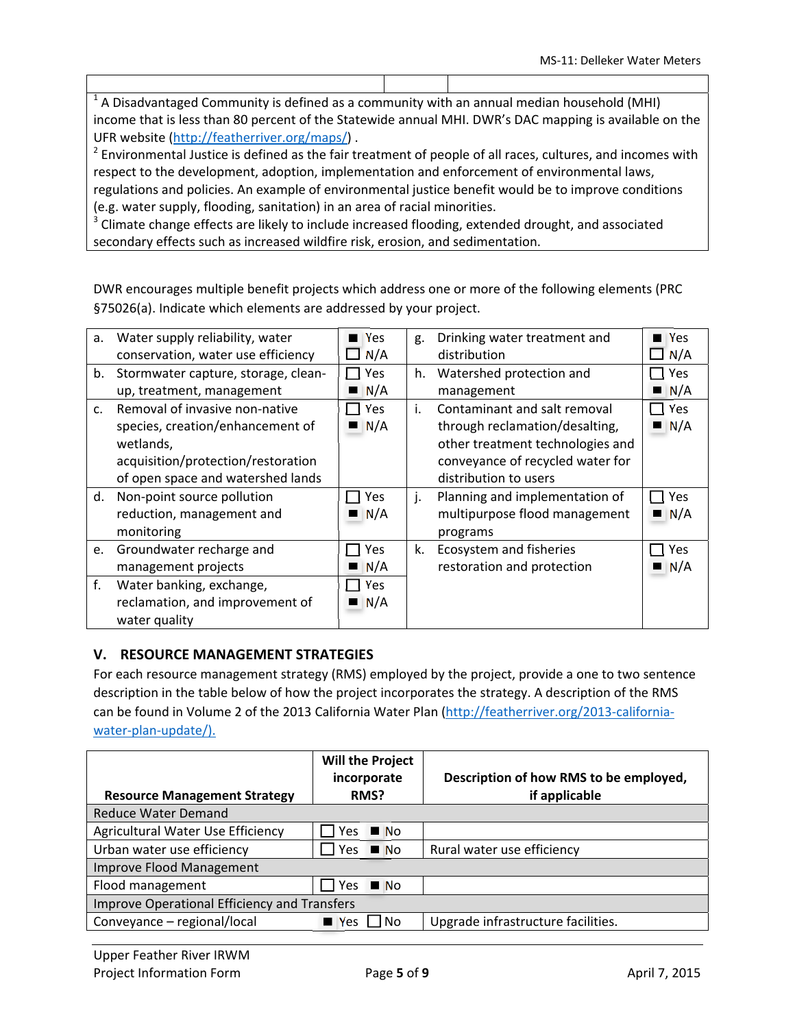$<sup>1</sup>$  A Disadvantaged Community is defined as a community with an annual median household (MHI)</sup> income that is less than 80 percent of the Statewide annual MHI. DWR's DAC mapping is available on the UFR website (http://featherriver.org/maps/) .

 $2$  Environmental Justice is defined as the fair treatment of people of all races, cultures, and incomes with respect to the development, adoption, implementation and enforcement of environmental laws, regulations and policies. An example of environmental justice benefit would be to improve conditions (e.g. water supply, flooding, sanitation) in an area of racial minorities.

 $3$  Climate change effects are likely to include increased flooding, extended drought, and associated secondary effects such as increased wildfire risk, erosion, and sedimentation.

DWR encourages multiple benefit projects which address one or more of the following elements (PRC §75026(a). Indicate which elements are addressed by your project.

| a.             | Water supply reliability, water     | <b>Yes</b> | g. | Drinking water treatment and     | <b>Yes</b> |
|----------------|-------------------------------------|------------|----|----------------------------------|------------|
|                | conservation, water use efficiency  | N/A        |    | distribution                     | N/A        |
| b.             | Stormwater capture, storage, clean- | Yes        | h. | Watershed protection and         | Yes        |
|                | up, treatment, management           | N/A        |    | management                       | N/A        |
| $\mathsf{C}$ . | Removal of invasive non-native      | Yes        | i. | Contaminant and salt removal     | <b>Yes</b> |
|                | species, creation/enhancement of    | N/A        |    | through reclamation/desalting,   | N/A        |
|                | wetlands,                           |            |    | other treatment technologies and |            |
|                | acquisition/protection/restoration  |            |    | conveyance of recycled water for |            |
|                | of open space and watershed lands   |            |    | distribution to users            |            |
| d.             | Non-point source pollution          | Yes        | j. | Planning and implementation of   | Yes        |
|                | reduction, management and           | N/A        |    | multipurpose flood management    | N/A        |
|                | monitoring                          |            |    | programs                         |            |
| e.             | Groundwater recharge and            | Yes        | k. | Ecosystem and fisheries          | Yes        |
|                | management projects                 | N/A        |    | restoration and protection       | N/A        |
| f.             | Water banking, exchange,            | Yes        |    |                                  |            |
|                | reclamation, and improvement of     | N/A        |    |                                  |            |
|                | water quality                       |            |    |                                  |            |

### **V. RESOURCE MANAGEMENT STRATEGIES**

For each resource management strategy (RMS) employed by the project, provide a one to two sentence description in the table below of how the project incorporates the strategy. A description of the RMS can be found in Volume 2 of the 2013 California Water Plan (http://featherriver.org/2013-californiawater-plan-update/).

| <b>Resource Management Strategy</b>          | <b>Will the Project</b><br>incorporate<br>RMS? |                   |                                    |  | Description of how RMS to be employed,<br>if applicable |
|----------------------------------------------|------------------------------------------------|-------------------|------------------------------------|--|---------------------------------------------------------|
| <b>Reduce Water Demand</b>                   |                                                |                   |                                    |  |                                                         |
| Agricultural Water Use Efficiency            | Yes.                                           | $\blacksquare$ No |                                    |  |                                                         |
| Urban water use efficiency                   | Yes<br>$\blacksquare$ No                       |                   | Rural water use efficiency         |  |                                                         |
| <b>Improve Flood Management</b>              |                                                |                   |                                    |  |                                                         |
| Flood management                             | <b>Yes</b>                                     | $\blacksquare$ No |                                    |  |                                                         |
| Improve Operational Efficiency and Transfers |                                                |                   |                                    |  |                                                         |
| Conveyance - regional/local                  | $N_{\text{esc}}$                               | l INo             | Upgrade infrastructure facilities. |  |                                                         |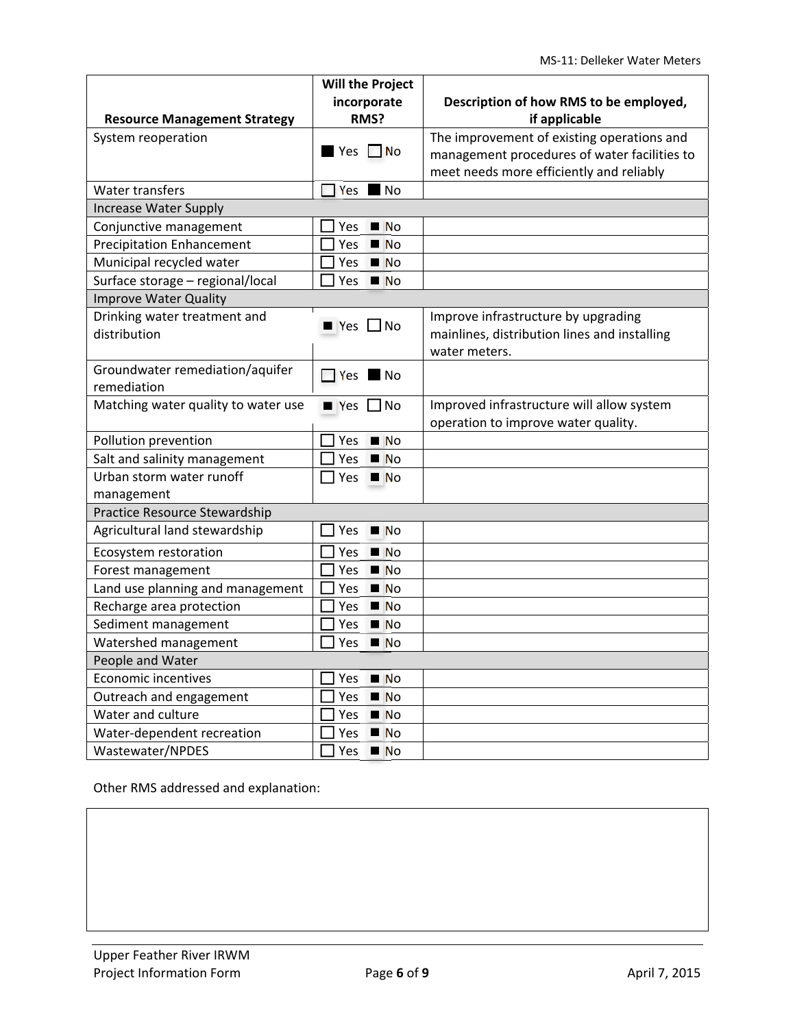|                                     | <b>Will the Project</b>      |                                              |
|-------------------------------------|------------------------------|----------------------------------------------|
|                                     | incorporate                  | Description of how RMS to be employed,       |
| <b>Resource Management Strategy</b> | RMS?                         | if applicable                                |
| System reoperation                  |                              | The improvement of existing operations and   |
|                                     | $Yes \tN$ o                  | management procedures of water facilities to |
|                                     |                              | meet needs more efficiently and reliably     |
| Water transfers                     | $\blacksquare$ No<br>Yes     |                                              |
| <b>Increase Water Supply</b>        |                              |                                              |
| Conjunctive management              | N <sub>O</sub><br>Yes        |                                              |
| <b>Precipitation Enhancement</b>    | N <sub>O</sub><br>Yes        |                                              |
| Municipal recycled water            | Yes<br>N <sub>O</sub>        |                                              |
| Surface storage - regional/local    | Yes<br>$\blacksquare$ No     |                                              |
| <b>Improve Water Quality</b>        |                              |                                              |
| Drinking water treatment and        | $\blacksquare$ Yes $\Box$ No | Improve infrastructure by upgrading          |
| distribution                        |                              | mainlines, distribution lines and installing |
|                                     |                              | water meters.                                |
| Groundwater remediation/aquifer     | $\Box$ Yes $\Box$ No         |                                              |
| remediation                         |                              |                                              |
| Matching water quality to water use | $\blacksquare$ Yes $\Box$ No | Improved infrastructure will allow system    |
|                                     |                              | operation to improve water quality.          |
| Pollution prevention                | N <sub>O</sub><br>Yes        |                                              |
| Salt and salinity management        | Yes<br>N <sub>O</sub>        |                                              |
| Urban storm water runoff            | <u> </u> Yes ■ No            |                                              |
| management                          |                              |                                              |
| Practice Resource Stewardship       |                              |                                              |
| Agricultural land stewardship       | Yes<br>$\blacksquare$ No     |                                              |
| Ecosystem restoration               | N <sub>O</sub><br><b>Yes</b> |                                              |
| Forest management                   | Yes<br>N <sub>O</sub>        |                                              |
| Land use planning and management    | N <sub>O</sub><br>Yes        |                                              |
| Recharge area protection            | N <sub>O</sub><br>Yes        |                                              |
| Sediment management                 | N <sub>O</sub><br>Yes        |                                              |
| Watershed management                | Yes<br>N <sub>O</sub>        |                                              |
| People and Water                    |                              |                                              |
| <b>Economic incentives</b>          | N <sub>O</sub><br>Yes        |                                              |
| Outreach and engagement             | Yes<br>N <sub>O</sub>        |                                              |
| Water and culture                   | Yes $N$                      |                                              |
| Water-dependent recreation          | Yes<br>N <sub>O</sub>        |                                              |
| Wastewater/NPDES                    | $Yes \blacksquare No$        |                                              |

Other RMS addressed and explanation: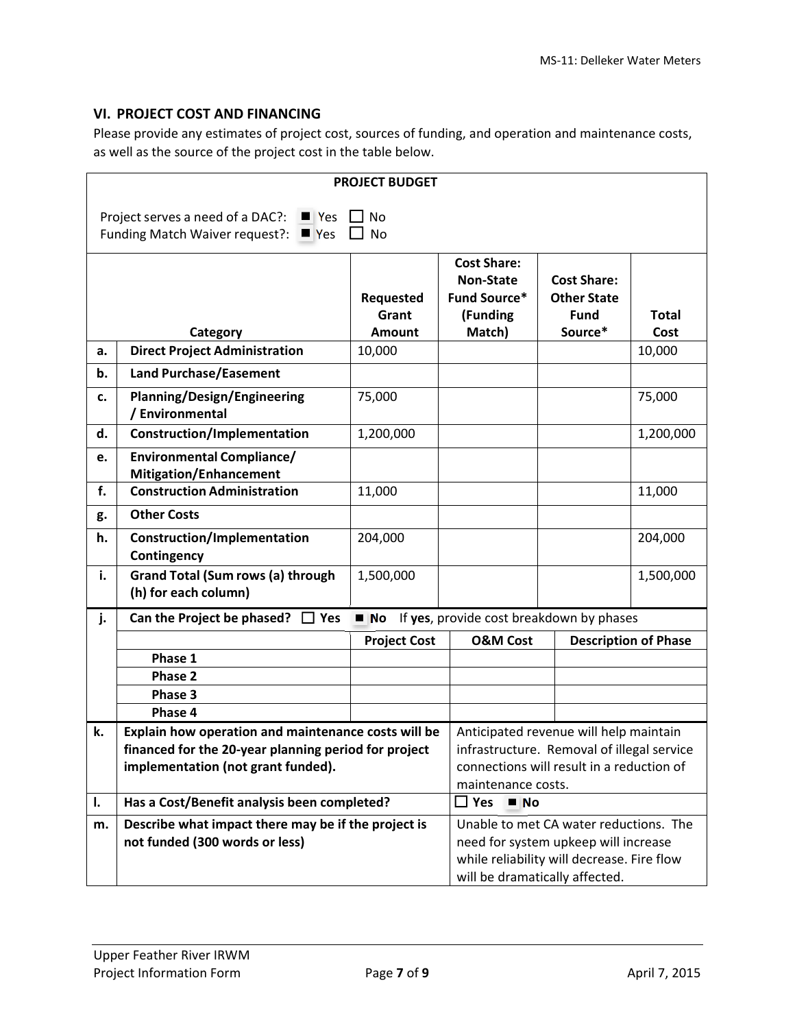### **VI. PROJECT COST AND FINANCING**

Please provide any estimates of project cost, sources of funding, and operation and maintenance costs, as well as the source of the project cost in the table below.

|    | <b>PROJECT BUDGET</b>                                                                                                                    |                     |                                          |                                                                                      |                             |  |  |
|----|------------------------------------------------------------------------------------------------------------------------------------------|---------------------|------------------------------------------|--------------------------------------------------------------------------------------|-----------------------------|--|--|
|    |                                                                                                                                          |                     |                                          |                                                                                      |                             |  |  |
|    | <b>No</b><br>Project serves a need of a DAC?:<br>$\blacksquare$ Yes<br>Funding Match Waiver request?:<br>$\blacksquare$ Yes<br><b>No</b> |                     |                                          |                                                                                      |                             |  |  |
|    |                                                                                                                                          |                     |                                          |                                                                                      |                             |  |  |
|    |                                                                                                                                          |                     | <b>Cost Share:</b>                       |                                                                                      |                             |  |  |
|    |                                                                                                                                          |                     | <b>Non-State</b>                         | <b>Cost Share:</b>                                                                   |                             |  |  |
|    |                                                                                                                                          | Requested<br>Grant  | <b>Fund Source*</b>                      | <b>Other State</b>                                                                   |                             |  |  |
|    | Category                                                                                                                                 | <b>Amount</b>       | (Funding<br>Match)                       | <b>Fund</b><br>Source*                                                               | <b>Total</b><br>Cost        |  |  |
| а. | <b>Direct Project Administration</b>                                                                                                     | 10,000              |                                          |                                                                                      | 10,000                      |  |  |
|    |                                                                                                                                          |                     |                                          |                                                                                      |                             |  |  |
| b. | <b>Land Purchase/Easement</b>                                                                                                            |                     |                                          |                                                                                      |                             |  |  |
| c. | <b>Planning/Design/Engineering</b><br>/ Environmental                                                                                    | 75,000              |                                          |                                                                                      | 75,000                      |  |  |
| d. | <b>Construction/Implementation</b>                                                                                                       | 1,200,000           |                                          |                                                                                      | 1,200,000                   |  |  |
| e. | <b>Environmental Compliance/</b>                                                                                                         |                     |                                          |                                                                                      |                             |  |  |
|    | <b>Mitigation/Enhancement</b>                                                                                                            |                     |                                          |                                                                                      |                             |  |  |
| f. | <b>Construction Administration</b>                                                                                                       | 11,000              |                                          |                                                                                      | 11,000                      |  |  |
| g. | <b>Other Costs</b>                                                                                                                       |                     |                                          |                                                                                      |                             |  |  |
| h. | <b>Construction/Implementation</b>                                                                                                       | 204,000             |                                          |                                                                                      | 204,000                     |  |  |
|    | Contingency                                                                                                                              |                     |                                          |                                                                                      |                             |  |  |
| i. | <b>Grand Total (Sum rows (a) through</b><br>(h) for each column)                                                                         | 1,500,000           |                                          |                                                                                      | 1,500,000                   |  |  |
|    |                                                                                                                                          |                     |                                          |                                                                                      |                             |  |  |
| j. | Can the Project be phased?<br>$\Box$ Yes                                                                                                 | N <sub>O</sub>      | If yes, provide cost breakdown by phases |                                                                                      |                             |  |  |
|    |                                                                                                                                          | <b>Project Cost</b> | <b>O&amp;M Cost</b>                      |                                                                                      | <b>Description of Phase</b> |  |  |
|    | Phase 1                                                                                                                                  |                     |                                          |                                                                                      |                             |  |  |
|    | Phase 2                                                                                                                                  |                     |                                          |                                                                                      |                             |  |  |
|    | Phase 3                                                                                                                                  |                     |                                          |                                                                                      |                             |  |  |
|    | Phase 4                                                                                                                                  |                     |                                          |                                                                                      |                             |  |  |
| k. | Explain how operation and maintenance costs will be                                                                                      |                     |                                          | Anticipated revenue will help maintain<br>infrastructure. Removal of illegal service |                             |  |  |
|    | financed for the 20-year planning period for project<br>implementation (not grant funded).                                               |                     |                                          | connections will result in a reduction of                                            |                             |  |  |
|    |                                                                                                                                          |                     | maintenance costs.                       |                                                                                      |                             |  |  |
| I. | Has a Cost/Benefit analysis been completed?                                                                                              |                     | $\Box$ Yes<br>N <sub>O</sub>             |                                                                                      |                             |  |  |
| m. | Describe what impact there may be if the project is                                                                                      |                     |                                          | Unable to met CA water reductions. The                                               |                             |  |  |
|    | not funded (300 words or less)                                                                                                           |                     |                                          | need for system upkeep will increase                                                 |                             |  |  |
|    |                                                                                                                                          |                     |                                          | while reliability will decrease. Fire flow                                           |                             |  |  |
|    |                                                                                                                                          |                     |                                          | will be dramatically affected.                                                       |                             |  |  |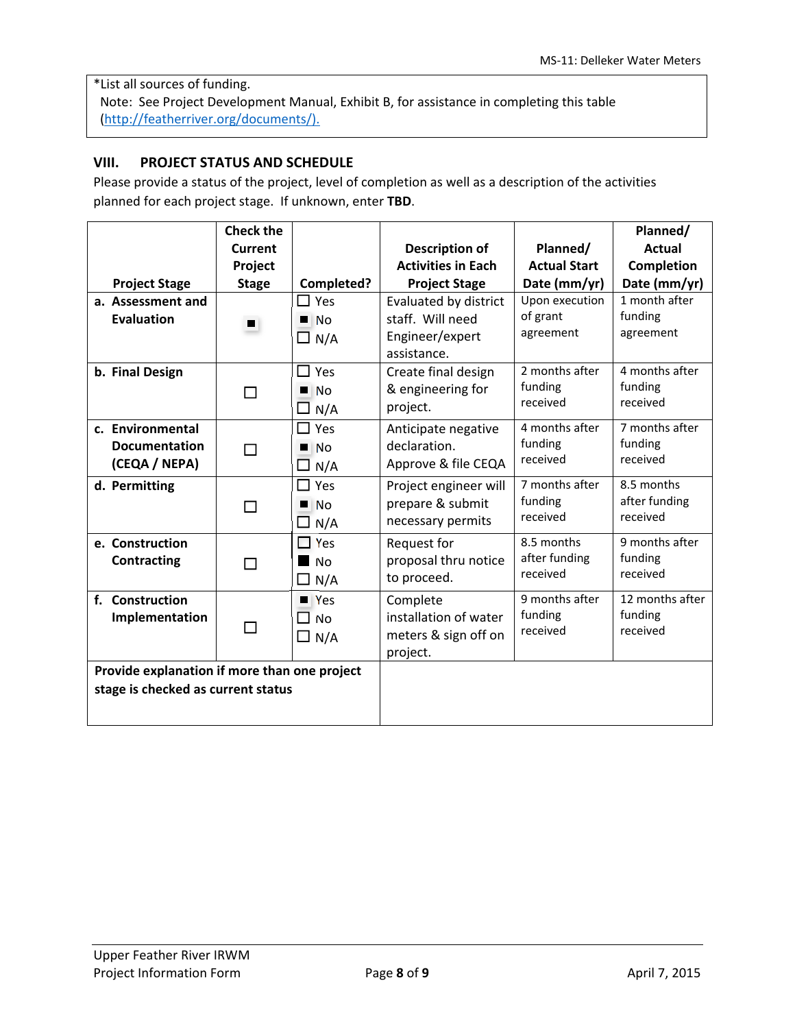\*List all sources of funding. Note: See Project Development Manual, Exhibit B, for assistance in completing this table (http://featherriver.org/documents/).

### **VIII. PROJECT STATUS AND SCHEDULE**

Please provide a status of the project, level of completion as well as a description of the activities planned for each project stage. If unknown, enter **TBD**.

|                                              | <b>Check the</b> |                    |                           |                     | Planned/          |
|----------------------------------------------|------------------|--------------------|---------------------------|---------------------|-------------------|
|                                              | Current          |                    | <b>Description of</b>     | Planned/            | <b>Actual</b>     |
|                                              | Project          |                    | <b>Activities in Each</b> | <b>Actual Start</b> | <b>Completion</b> |
| <b>Project Stage</b>                         | <b>Stage</b>     | Completed?         | <b>Project Stage</b>      | Date (mm/yr)        | Date (mm/yr)      |
| a. Assessment and                            |                  | $\square$ Yes      | Evaluated by district     | Upon execution      | 1 month after     |
| <b>Evaluation</b>                            | $\blacksquare$   | N <sub>0</sub>     | staff. Will need          | of grant            | funding           |
|                                              |                  | $\Box$ N/A         | Engineer/expert           | agreement           | agreement         |
|                                              |                  |                    | assistance.               |                     |                   |
| b. Final Design                              |                  | $\Box$ Yes         | Create final design       | 2 months after      | 4 months after    |
|                                              | П                | N <sub>0</sub>     | & engineering for         | funding             | funding           |
|                                              |                  | $\Box$ N/A         | project.                  | received            | received          |
| c. Environmental                             |                  | $\square$ Yes      | Anticipate negative       | 4 months after      | 7 months after    |
| <b>Documentation</b>                         | П                | N <sub>O</sub>     | declaration.              | funding             | funding           |
| (CEQA / NEPA)                                |                  | N/A                | Approve & file CEQA       | received            | received          |
| d. Permitting                                |                  | $\square$ Yes      | Project engineer will     | 7 months after      | 8.5 months        |
|                                              | ⊓                | N <sub>O</sub>     | prepare & submit          | funding             | after funding     |
|                                              |                  | $\Box$ N/A         | necessary permits         | received            | received          |
| e. Construction                              |                  | $\Box$ Yes         | Request for               | 8.5 months          | 9 months after    |
| Contracting                                  | П                | $\blacksquare$ No  | proposal thru notice      | after funding       | funding           |
|                                              |                  | $\Box$ N/A         | to proceed.               | received            | received          |
| f. Construction                              |                  | $\blacksquare$ Yes | Complete                  | 9 months after      | 12 months after   |
| Implementation                               |                  | $\Box$ No          | installation of water     | funding             | funding           |
|                                              |                  | $\Box$ N/A         | meters & sign off on      | received            | received          |
|                                              |                  |                    | project.                  |                     |                   |
| Provide explanation if more than one project |                  |                    |                           |                     |                   |
| stage is checked as current status           |                  |                    |                           |                     |                   |
|                                              |                  |                    |                           |                     |                   |
|                                              |                  |                    |                           |                     |                   |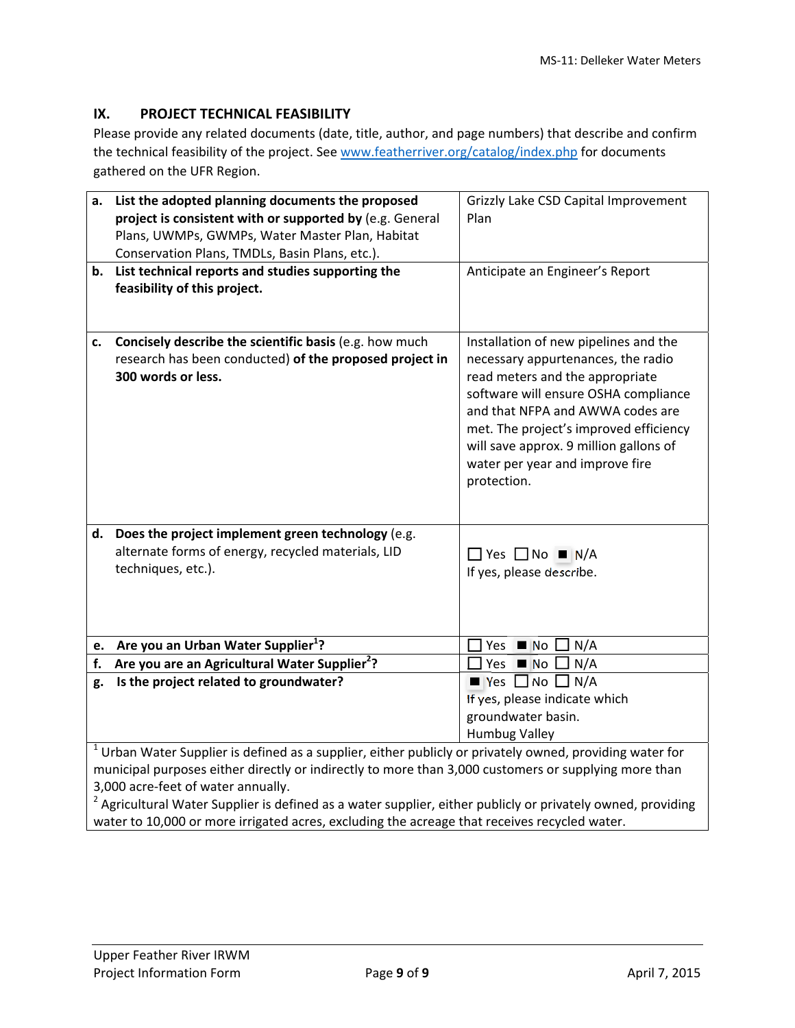## **IX. PROJECT TECHNICAL FEASIBILITY**

Please provide any related documents (date, title, author, and page numbers) that describe and confirm the technical feasibility of the project. See www.featherriver.org/catalog/index.php for documents gathered on the UFR Region.

| a. | List the adopted planning documents the proposed<br>project is consistent with or supported by (e.g. General                                                                                                                                             | Grizzly Lake CSD Capital Improvement<br>Plan                                                                                                                                                                                                                                                                                     |
|----|----------------------------------------------------------------------------------------------------------------------------------------------------------------------------------------------------------------------------------------------------------|----------------------------------------------------------------------------------------------------------------------------------------------------------------------------------------------------------------------------------------------------------------------------------------------------------------------------------|
|    | Plans, UWMPs, GWMPs, Water Master Plan, Habitat                                                                                                                                                                                                          |                                                                                                                                                                                                                                                                                                                                  |
|    | Conservation Plans, TMDLs, Basin Plans, etc.).                                                                                                                                                                                                           |                                                                                                                                                                                                                                                                                                                                  |
| b. | List technical reports and studies supporting the<br>feasibility of this project.                                                                                                                                                                        | Anticipate an Engineer's Report                                                                                                                                                                                                                                                                                                  |
| c. | Concisely describe the scientific basis (e.g. how much<br>research has been conducted) of the proposed project in<br>300 words or less.                                                                                                                  | Installation of new pipelines and the<br>necessary appurtenances, the radio<br>read meters and the appropriate<br>software will ensure OSHA compliance<br>and that NFPA and AWWA codes are<br>met. The project's improved efficiency<br>will save approx. 9 million gallons of<br>water per year and improve fire<br>protection. |
|    | d. Does the project implement green technology (e.g.<br>alternate forms of energy, recycled materials, LID<br>techniques, etc.).                                                                                                                         | $\Box$ Yes $\Box$ No $\blacksquare$ N/A<br>If yes, please describe.                                                                                                                                                                                                                                                              |
|    | e. Are you an Urban Water Supplier <sup>1</sup> ?                                                                                                                                                                                                        | N/A<br>$Yes \blacksquare No$                                                                                                                                                                                                                                                                                                     |
| f. | Are you are an Agricultural Water Supplier <sup>2</sup> ?                                                                                                                                                                                                | Yes $\blacksquare$ No $\square$<br>N/A                                                                                                                                                                                                                                                                                           |
| g. | Is the project related to groundwater?                                                                                                                                                                                                                   | $\rule{1em}{0.15mm}$ Yes $\rule{1em}{0.15mm}$ No $\Box$ N/A<br>If yes, please indicate which<br>groundwater basin.<br><b>Humbug Valley</b>                                                                                                                                                                                       |
|    | $1$ Urban Water Supplier is defined as a supplier, either publicly or privately owned, providing water for<br>municipal purposes either directly or indirectly to more than 3,000 customers or supplying more than<br>3,000 acre-feet of water annually. |                                                                                                                                                                                                                                                                                                                                  |

<sup>2</sup> Agricultural Water Supplier is defined as a water supplier, either publicly or privately owned, providing water to 10,000 or more irrigated acres, excluding the acreage that receives recycled water.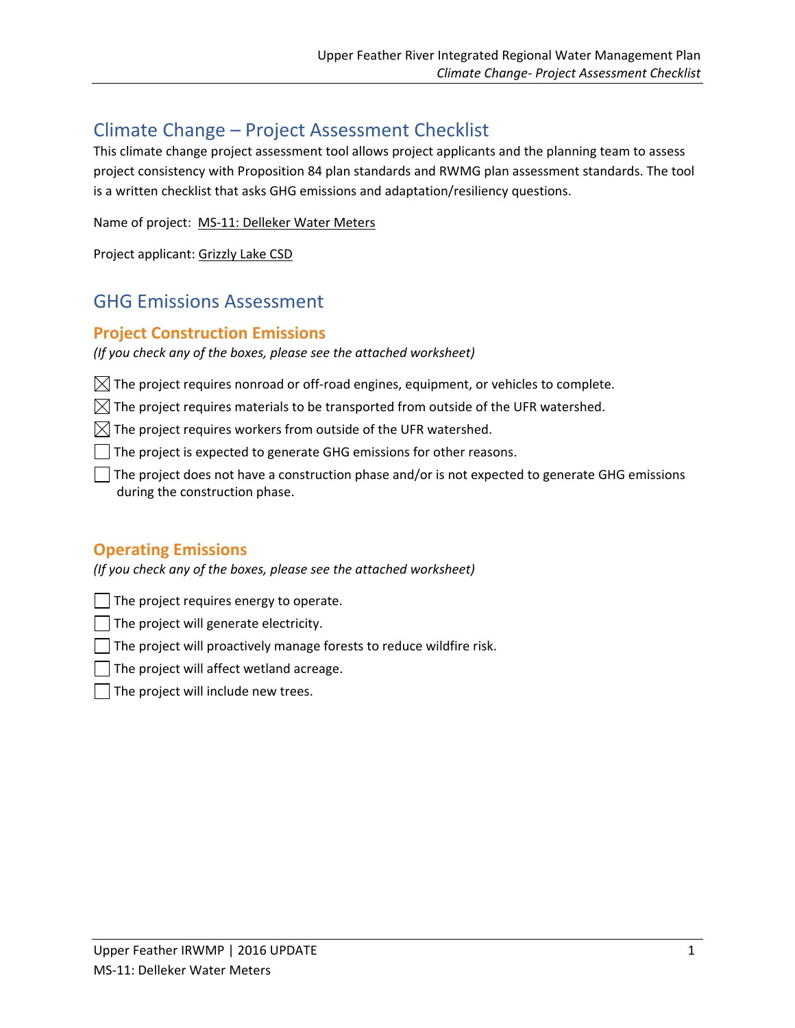# Climate Change – Project Assessment Checklist

This climate change project assessment tool allows project applicants and the planning team to assess project consistency with Proposition 84 plan standards and RWMG plan assessment standards. The tool is a written checklist that asks GHG emissions and adaptation/resiliency questions.

```
Name of project:  MS‐11: Delleker Water Meters
```
Project applicant: Grizzly Lake CSD

# GHG Emissions Assessment

# **Project Construction Emissions**

*(If you check any of the boxes, please see the attached worksheet)*

 $\boxtimes$  The project requires nonroad or off-road engines, equipment, or vehicles to complete.

 $\boxtimes$  The project requires materials to be transported from outside of the UFR watershed.

 $\boxtimes$  The project requires workers from outside of the UFR watershed.

The project is expected to generate GHG emissions for other reasons.

The project does not have a construction phase and/or is not expected to generate GHG emissions during the construction phase.

# **Operating Emissions**

*(If you check any of the boxes, please see the attached worksheet)*

The project requires energy to operate.

The project will generate electricity.

 $\Box$  The project will proactively manage forests to reduce wildfire risk.

The project will affect wetland acreage.

The project will include new trees.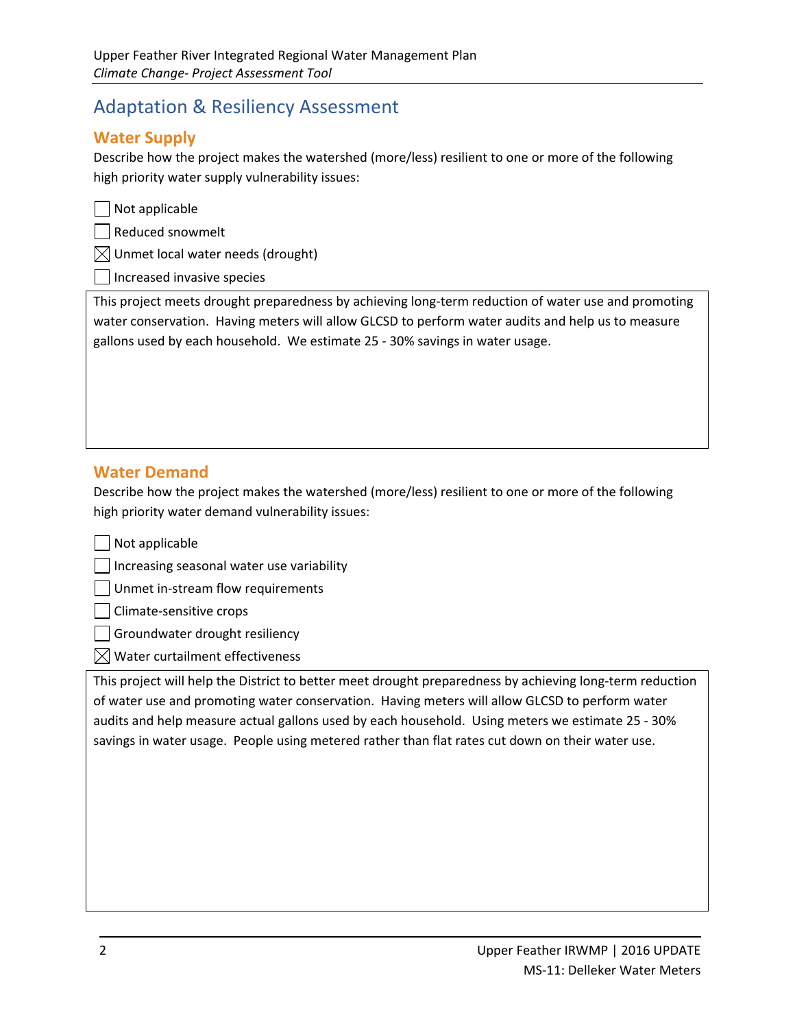# Adaptation & Resiliency Assessment

# **Water Supply**

Describe how the project makes the watershed (more/less) resilient to one or more of the following high priority water supply vulnerability issues:

|  | $\Box$ Not applicable |  |  |  |
|--|-----------------------|--|--|--|
|--|-----------------------|--|--|--|

Reduced snowmelt

 $\bowtie$  Unmet local water needs (drought)

Increased invasive species

This project meets drought preparedness by achieving long‐term reduction of water use and promoting water conservation. Having meters will allow GLCSD to perform water audits and help us to measure gallons used by each household. We estimate 25 ‐ 30% savings in water usage.

# **Water Demand**

Describe how the project makes the watershed (more/less) resilient to one or more of the following high priority water demand vulnerability issues:

 $\Box$  Not applicable

Increasing seasonal water use variability

Unmet in‐stream flow requirements

Climate‐sensitive crops

Groundwater drought resiliency

 $\boxtimes$  Water curtailment effectiveness

This project will help the District to better meet drought preparedness by achieving long‐term reduction of water use and promoting water conservation. Having meters will allow GLCSD to perform water audits and help measure actual gallons used by each household. Using meters we estimate 25 ‐ 30% savings in water usage. People using metered rather than flat rates cut down on their water use.

<u> 1989 - Andrea Barbara, amerikana amerikana amerikana amerikana amerikana amerikana amerikana amerikana amerik</u>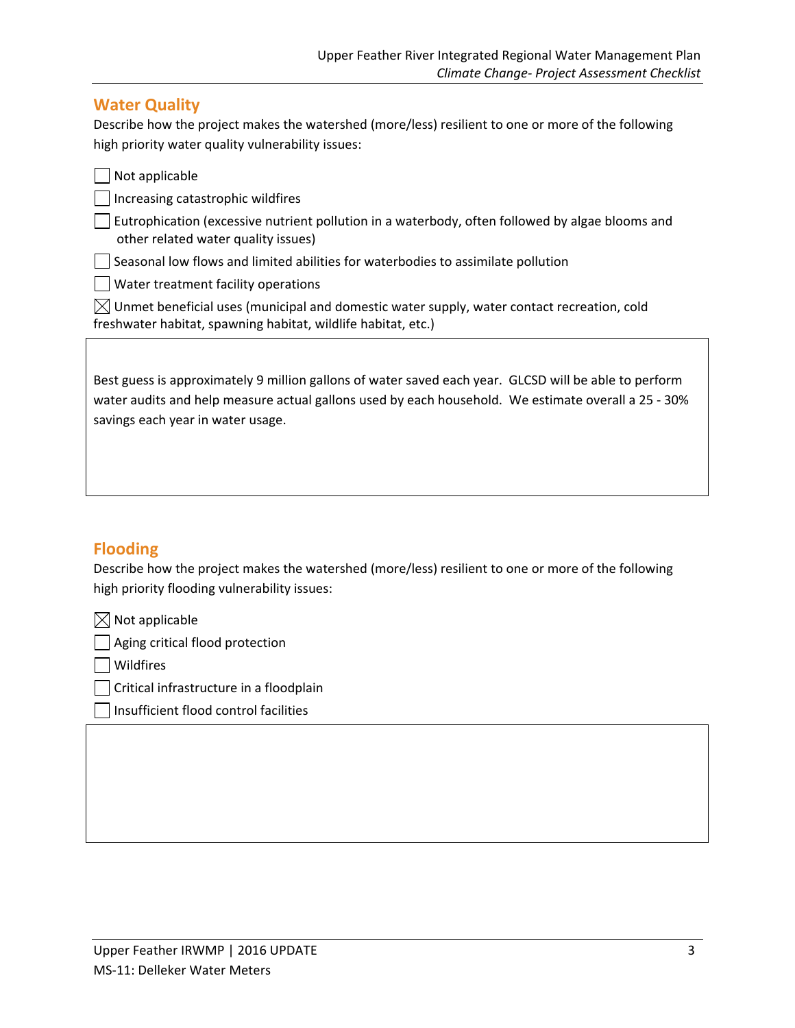## **Water Quality**

Describe how the project makes the watershed (more/less) resilient to one or more of the following high priority water quality vulnerability issues:

| Not applicable                                                                                                                                                                                                                                    |
|---------------------------------------------------------------------------------------------------------------------------------------------------------------------------------------------------------------------------------------------------|
| Increasing catastrophic wildfires                                                                                                                                                                                                                 |
| Eutrophication (excessive nutrient pollution in a waterbody, often followed by algae blooms and<br>other related water quality issues)                                                                                                            |
| Seasonal low flows and limited abilities for waterbodies to assimilate pollution                                                                                                                                                                  |
| Water treatment facility operations                                                                                                                                                                                                               |
| Unmet beneficial uses (municipal and domestic water supply, water contact recreation, cold<br>IXI<br>freshwater habitat, spawning habitat, wildlife habitat, etc.)                                                                                |
|                                                                                                                                                                                                                                                   |
| Best guess is approximately 9 million gallons of water saved each year. GLCSD will be able to perform<br>water audits and help measure actual gallons used by each household. We estimate overall a 25 - 30%<br>savings each year in water usage. |

# **Flooding**

Describe how the project makes the watershed (more/less) resilient to one or more of the following high priority flooding vulnerability issues:

 $\boxtimes$  Not applicable

Aging critical flood protection

**Nildfires** 

Critical infrastructure in a floodplain

Insufficient flood control facilities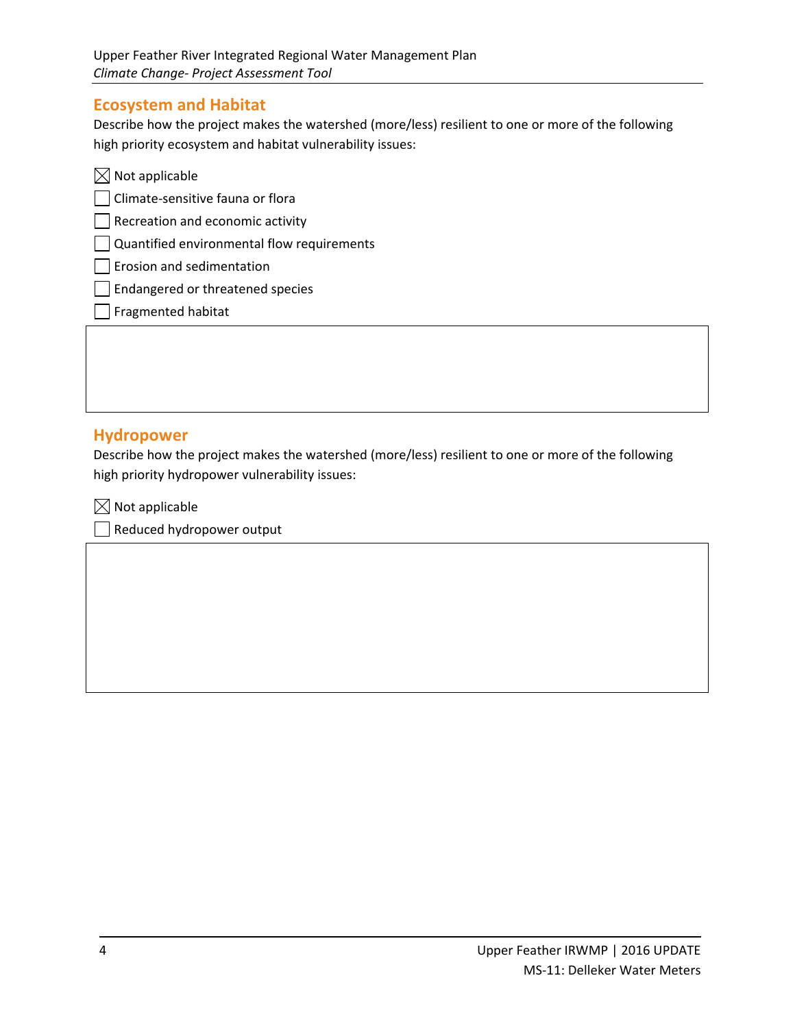## **Ecosystem and Habitat**

Describe how the project makes the watershed (more/less) resilient to one or more of the following high priority ecosystem and habitat vulnerability issues:

| $\boxtimes$ Not applicable                                 |  |
|------------------------------------------------------------|--|
| Climate-sensitive fauna or flora                           |  |
| $\vert$ Recreation and economic activity                   |  |
| $\vert$ $\vert$ Quantified environmental flow requirements |  |
| $\vert$   Erosion and sedimentation                        |  |
| Endangered or threatened species                           |  |
| Fragmented habitat                                         |  |
|                                                            |  |

### **Hydropower**

Describe how the project makes the watershed (more/less) resilient to one or more of the following high priority hydropower vulnerability issues:

<u> 1989 - Andrea Barbara, amerikana amerikana amerikana amerikana amerikana amerikana amerikana amerikana amerik</u>

 $\boxtimes$  Not applicable

Reduced hydropower output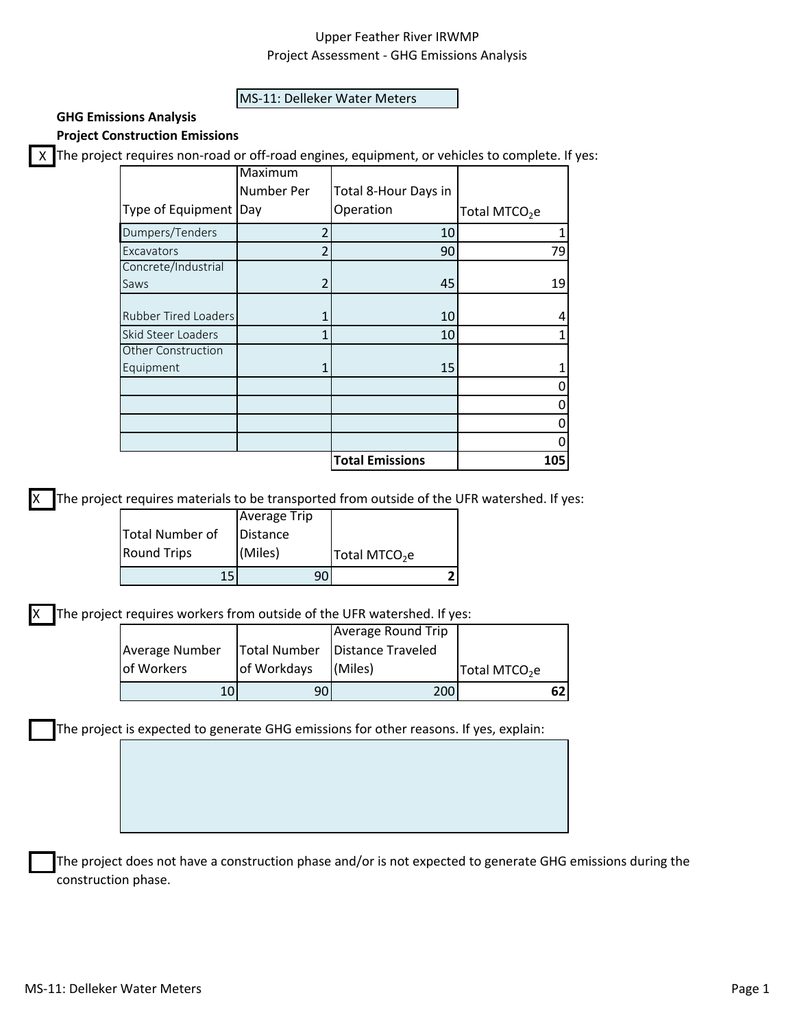#### MS‐11: Delleker Water Meters

# **GHG Emissions Analysis**

**Project Construction Emissions**

X The project requires non-road or off-road engines, equipment, or vehicles to complete. If yes:

|                      | Maximum        |                        |                           |
|----------------------|----------------|------------------------|---------------------------|
|                      | Number Per     | Total 8-Hour Days in   |                           |
| Type of Equipment    | Day            | Operation              | Total MTCO <sub>2</sub> e |
| Dumpers/Tenders      | $\overline{2}$ | 10                     |                           |
| Excavators           | 2              | 90                     | 79                        |
| Concrete/Industrial  |                |                        |                           |
| Saws                 |                | 45                     | 19                        |
| Rubber Tired Loaders |                | 10                     |                           |
| Skid Steer Loaders   | 1              | 10                     |                           |
| Other Construction   |                |                        |                           |
| Equipment            |                | 15                     |                           |
|                      |                |                        |                           |
|                      |                |                        |                           |
|                      |                |                        |                           |
|                      |                |                        |                           |
|                      |                | <b>Total Emissions</b> | 105                       |

The project requires materials to be transported from outside of the UFR watershed. If yes:

| 15                 |                     |                           |  |
|--------------------|---------------------|---------------------------|--|
| <b>Round Trips</b> | (Miles)             | Total MTCO <sub>2</sub> e |  |
| Total Number of    | Distance            |                           |  |
|                    | <b>Average Trip</b> |                           |  |

The project requires workers from outside of the UFR watershed. If yes:

| 10             |             | <b>2001</b>                      |                           |  |
|----------------|-------------|----------------------------------|---------------------------|--|
| of Workers     | of Workdays | (Miles)                          | Total MTCO <sub>2</sub> e |  |
| Average Number |             | Total Number   Distance Traveled |                           |  |
|                |             | Average Round Trip               |                           |  |

The project is expected to generate GHG emissions for other reasons. If yes, explain:

The project does not have a construction phase and/or is not expected to generate GHG emissions during the construction phase.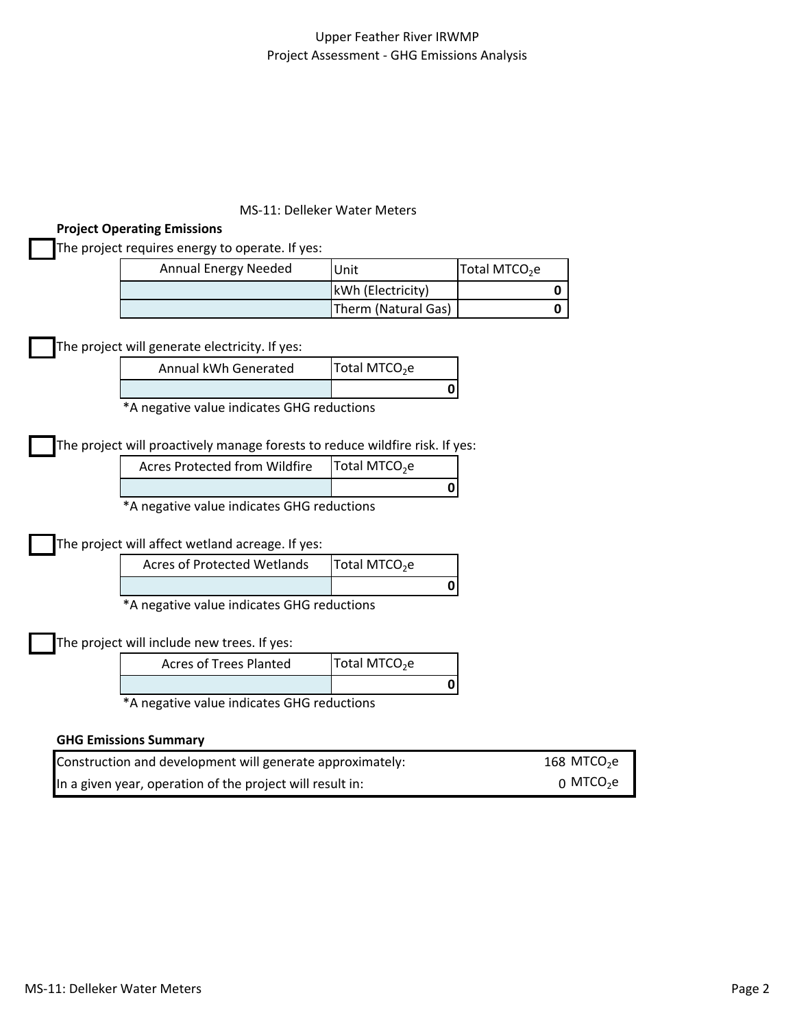### MS‐11: Delleker Water Meters

### **Project Operating Emissions**

The project requires energy to operate. If yes:

| Annual Energy Needed | lUnit               | Total MTCO <sub>2</sub> e |
|----------------------|---------------------|---------------------------|
|                      | kWh (Electricity)   |                           |
|                      | Therm (Natural Gas) |                           |

The project will generate electricity. If yes:

| Annual kWh Generated | Total MTCO <sub>2</sub> e |
|----------------------|---------------------------|
|                      |                           |

\*A negative value indicates GHG reductions

The project will proactively manage forests to reduce wildfire risk. If yes:

| <b>Acres Protected from Wildfire</b> | Total MTCO <sub>2</sub> e |
|--------------------------------------|---------------------------|
|                                      |                           |

\*A negative value indicates GHG reductions

## The project will affect wetland acreage. If yes:

|          | <b>Acres of Protected Wetlands</b> | Total MTCO <sub>2</sub> e |  |
|----------|------------------------------------|---------------------------|--|
|          |                                    |                           |  |
| $\cdots$ |                                    |                           |  |

\*A negative value indicates GHG reductions

The project will include new trees. If yes:

| Acres of Trees Planted | Total MTCO <sub>2</sub> e |
|------------------------|---------------------------|
|                        |                           |

\*A negative value indicates GHG reductions

#### **GHG Emissions Summary**

| Construction and development will generate approximately: | 168 MTCO <sub>2</sub> e |
|-----------------------------------------------------------|-------------------------|
| In a given year, operation of the project will result in: | ი MTCO <sub>2</sub> e   |